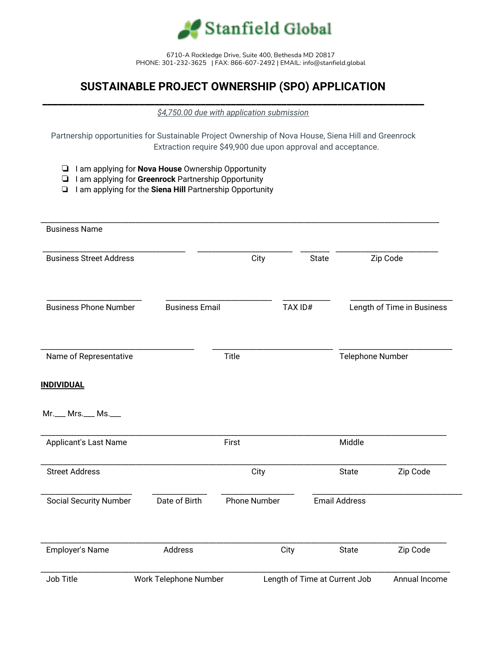

6710-A Rockledge Drive, Suite 400, Bethesda MD 20817 PHONE: 301-232-3625 | FAX: 866-607-2492 | EMAIL: info@stanfield.global

## **SUSTAINABLE PROJECT OWNERSHIP (SPO) APPLICATION**

**\_\_\_\_\_\_\_\_\_\_\_\_\_\_\_\_\_\_\_\_\_\_\_\_\_\_\_\_\_\_\_\_\_\_\_\_\_\_\_\_\_\_\_\_\_\_\_\_\_\_\_\_\_\_\_\_\_\_\_\_\_\_\_\_\_\_\_\_\_\_\_\_\_\_\_** *\$4,750.00 due with application submission*

Partnership opportunities for Sustainable Project Ownership of Nova House, Siena Hill and Greenrock Extraction require \$49,900 due upon approval and acceptance.

- ❏ I am applying for **Nova House** Ownership Opportunity
- ❏ I am applying for **Greenrock** Partnership Opportunity
- ❏ I am applying for the **Siena Hill** Partnership Opportunity

| <b>Business Name</b>           |                       |                     |                               |                      |                            |
|--------------------------------|-----------------------|---------------------|-------------------------------|----------------------|----------------------------|
| <b>Business Street Address</b> |                       | City                | State                         |                      | Zip Code                   |
| <b>Business Phone Number</b>   | <b>Business Email</b> |                     | TAX ID#                       |                      | Length of Time in Business |
| Name of Representative         |                       | Title               |                               | Telephone Number     |                            |
| <b>INDIVIDUAL</b>              |                       |                     |                               |                      |                            |
| Mr.___ Mrs.___ Ms.___          |                       |                     |                               |                      |                            |
| Applicant's Last Name          |                       | First               |                               | Middle               |                            |
| <b>Street Address</b>          |                       | City                |                               | <b>State</b>         | Zip Code                   |
| <b>Social Security Number</b>  | Date of Birth         | <b>Phone Number</b> |                               | <b>Email Address</b> |                            |
| Employer's Name                | Address               |                     | City                          | <b>State</b>         | Zip Code                   |
| Job Title                      | Work Telephone Number |                     | Length of Time at Current Job |                      | Annual Income              |